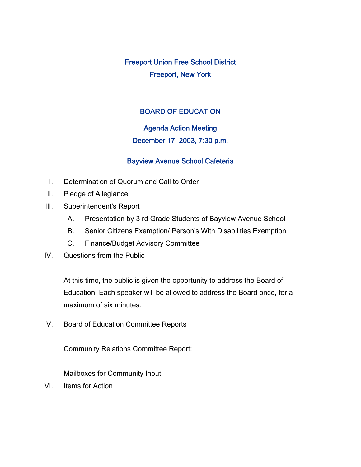Freeport Union Free School District Freeport, New York

## BOARD OF EDUCATION

## Agenda Action Meeting

## December 17, 2003, 7:30 p.m.

## Bayview Avenue School Cafeteria

- I. Determination of Quorum and Call to Order
- II. Pledge of Allegiance
- III. Superintendent's Report
	- A. Presentation by 3 rd Grade Students of Bayview Avenue School
	- B. Senior Citizens Exemption/ Person's With Disabilities Exemption
	- C. Finance/Budget Advisory Committee
- IV. Questions from the Public

At this time, the public is given the opportunity to address the Board of Education. Each speaker will be allowed to address the Board once, for a maximum of six minutes.

V. Board of Education Committee Reports

Community Relations Committee Report:

Mailboxes for Community Input

VI. Items for Action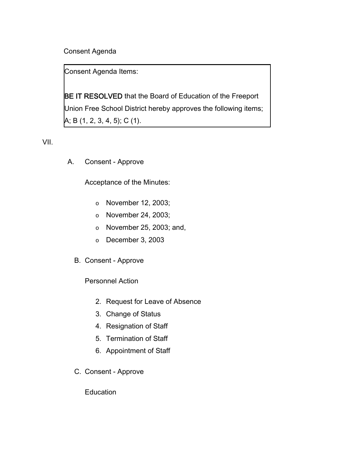Consent Agenda

Consent Agenda Items:

**BE IT RESOLVED** that the Board of Education of the Freeport Union Free School District hereby approves the following items; A; B (1, 2, 3, 4, 5); C (1).

VII.

A. Consent - Approve

Acceptance of the Minutes:

- o November 12, 2003;
- o November 24, 2003;
- o November 25, 2003; and,
- o December 3, 2003
- B. Consent Approve

Personnel Action

- 2. Request for Leave of Absence
- 3. Change of Status
- 4. Resignation of Staff
- 5. Termination of Staff
- 6. Appointment of Staff
- C. Consent Approve

**Education**